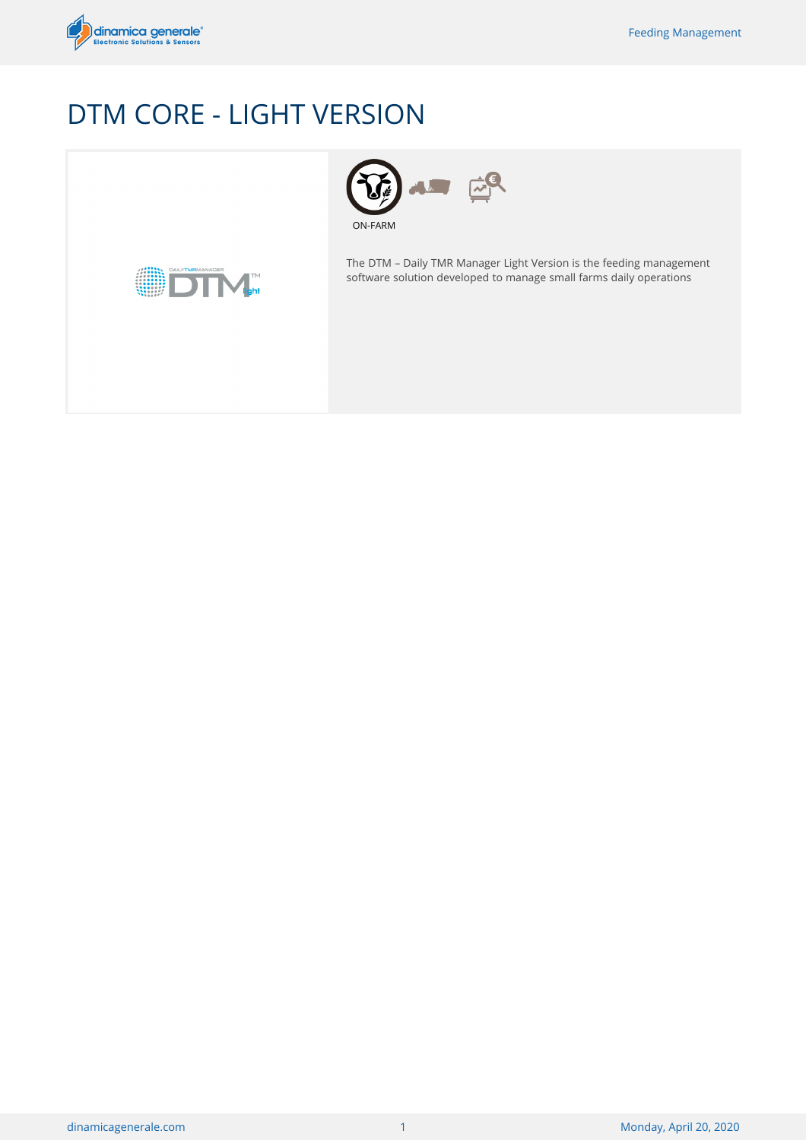

# DTM CORE - LIGHT VERSION



 $\vec{r}$ ON-FARM

The DTM – Daily TMR Manager Light Version is the feeding management software solution developed to manage small farms daily operations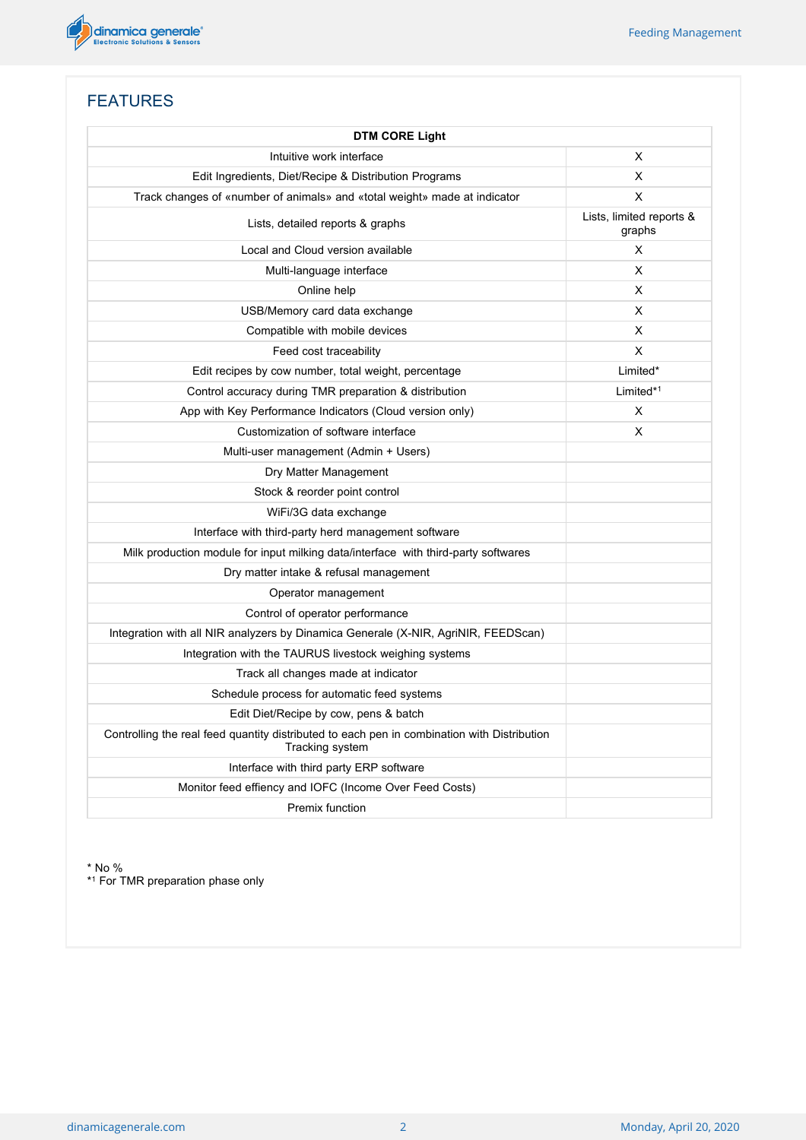

# FEATURES

| <b>DTM CORE Light</b>                                                                                          |                                    |  |  |
|----------------------------------------------------------------------------------------------------------------|------------------------------------|--|--|
| Intuitive work interface                                                                                       | X                                  |  |  |
| Edit Ingredients, Diet/Recipe & Distribution Programs                                                          | X                                  |  |  |
| Track changes of «number of animals» and «total weight» made at indicator                                      | X                                  |  |  |
| Lists, detailed reports & graphs                                                                               | Lists, limited reports &<br>graphs |  |  |
| Local and Cloud version available                                                                              | X                                  |  |  |
| Multi-language interface                                                                                       | X                                  |  |  |
| Online help                                                                                                    | X                                  |  |  |
| USB/Memory card data exchange                                                                                  | X                                  |  |  |
| Compatible with mobile devices                                                                                 | X                                  |  |  |
| Feed cost traceability                                                                                         | X                                  |  |  |
| Edit recipes by cow number, total weight, percentage                                                           | Limited*                           |  |  |
| Control accuracy during TMR preparation & distribution                                                         | Limited $*1$                       |  |  |
| App with Key Performance Indicators (Cloud version only)                                                       | X                                  |  |  |
| Customization of software interface                                                                            | X                                  |  |  |
| Multi-user management (Admin + Users)                                                                          |                                    |  |  |
| Dry Matter Management                                                                                          |                                    |  |  |
| Stock & reorder point control                                                                                  |                                    |  |  |
| WiFi/3G data exchange                                                                                          |                                    |  |  |
| Interface with third-party herd management software                                                            |                                    |  |  |
| Milk production module for input milking data/interface with third-party softwares                             |                                    |  |  |
| Dry matter intake & refusal management                                                                         |                                    |  |  |
| Operator management                                                                                            |                                    |  |  |
| Control of operator performance                                                                                |                                    |  |  |
| Integration with all NIR analyzers by Dinamica Generale (X-NIR, AgriNIR, FEEDScan)                             |                                    |  |  |
| Integration with the TAURUS livestock weighing systems                                                         |                                    |  |  |
| Track all changes made at indicator                                                                            |                                    |  |  |
| Schedule process for automatic feed systems                                                                    |                                    |  |  |
| Edit Diet/Recipe by cow, pens & batch                                                                          |                                    |  |  |
| Controlling the real feed quantity distributed to each pen in combination with Distribution<br>Tracking system |                                    |  |  |
| Interface with third party ERP software                                                                        |                                    |  |  |
| Monitor feed effiency and IOFC (Income Over Feed Costs)                                                        |                                    |  |  |
| Premix function                                                                                                |                                    |  |  |

\* No %

\* <sup>1</sup> For TMR preparation phase only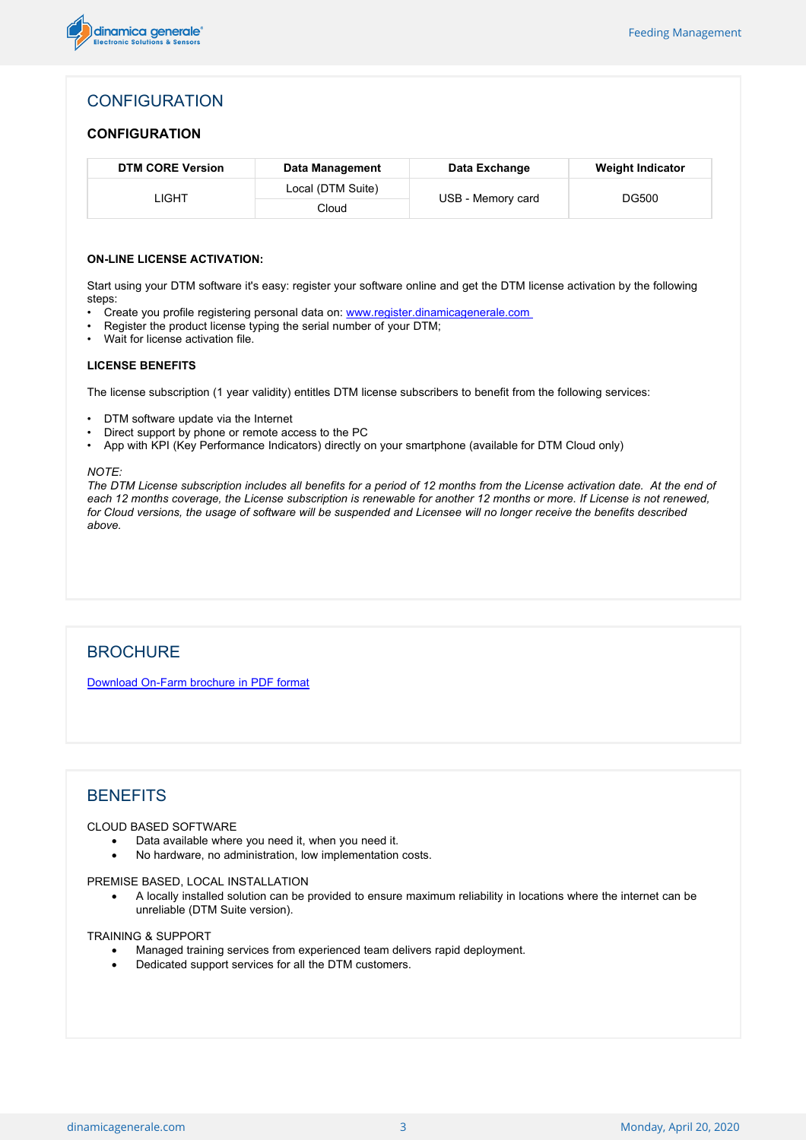

## **CONFIGURATION**

#### **CONFIGURATION**

| <b>DTM CORE Version</b> | Data Management   | Data Exchange     | <b>Weight Indicator</b> |
|-------------------------|-------------------|-------------------|-------------------------|
| _IGHT                   | Local (DTM Suite) | USB - Memory card | DG500                   |
|                         | Cloud             |                   |                         |

#### **ON-LINE LICENSE ACTIVATION:**

Start using your DTM software it's easy: register your software online and get the DTM license activation by the following steps:

- Create you profile registering personal data on: [www.register.dinamicagenerale.com](http://www.register.dinamicagenerale.com)
- Register the product license typing the serial number of your DTM;
- Wait for license activation file.

#### **LICENSE BENEFITS**

The license subscription (1 year validity) entitles DTM license subscribers to benefit from the following services:

- DTM software update via the Internet
- Direct support by phone or remote access to the PC
- App with KPI (Key Performance Indicators) directly on your smartphone (available for DTM Cloud only)

#### *NOTE:*

The DTM License subscription includes all benefits for a period of 12 months from the License activation date. At the end of each 12 months coverage, the License subscription is renewable for another 12 months or more. If License is not renewed, for Cloud versions, the usage of software will be suspended and Licensee will no longer receive the benefits described *above.*

### **BROCHURE**

[Download](/public/brochures/en/ONFARM-A1-19.pdf) [On-Farm](/public/brochures/en/ONFARM-A1-19.pdf) [brochure](/public/brochures/en/ONFARM-A1-19.pdf) [in](/public/brochures/en/ONFARM-A1-19.pdf) [PDF](/public/brochures/en/ONFARM-A1-19.pdf) [format](/public/brochures/en/ONFARM-A1-19.pdf)

## **BENEFITS**

#### CLOUD BASED SOFTWARE

- Data available where you need it, when you need it.
- · No hardware, no administration, low implementation costs.

#### PREMISE BASED, LOCAL INSTALLATION

· A locally installed solution can be provided to ensure maximum reliability in locations where the internet can be unreliable (DTM Suite version).

#### TRAINING & SUPPORT

- · Managed training services from experienced team delivers rapid deployment.
- Dedicated support services for all the DTM customers.